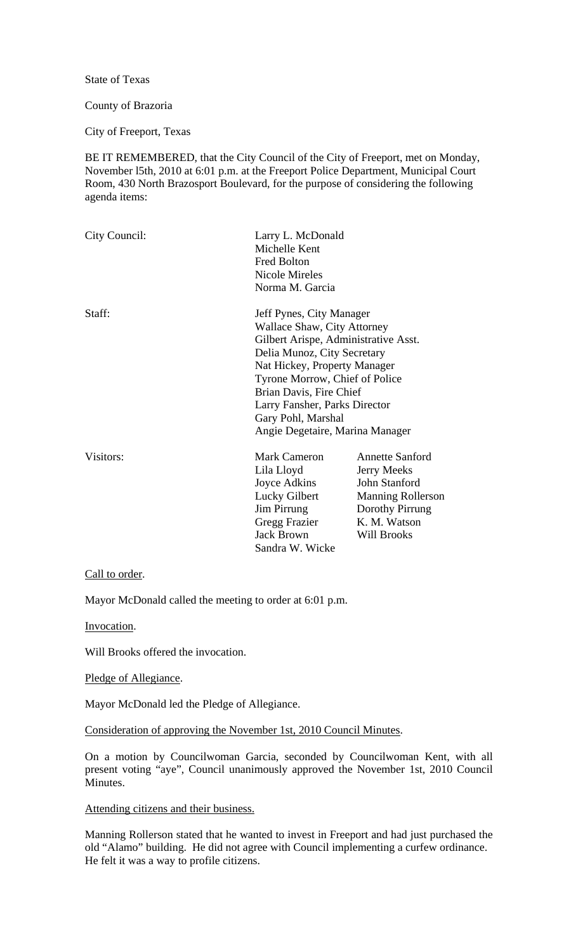State of Texas

#### County of Brazoria

City of Freeport, Texas

BE IT REMEMBERED, that the City Council of the City of Freeport, met on Monday, November l5th, 2010 at 6:01 p.m. at the Freeport Police Department, Municipal Court Room, 430 North Brazosport Boulevard, for the purpose of considering the following agenda items:

| City Council: | Larry L. McDonald<br>Michelle Kent<br><b>Fred Bolton</b><br><b>Nicole Mireles</b><br>Norma M. Garcia                                                                                                                                                                                                                  |                                                                                                                                             |
|---------------|-----------------------------------------------------------------------------------------------------------------------------------------------------------------------------------------------------------------------------------------------------------------------------------------------------------------------|---------------------------------------------------------------------------------------------------------------------------------------------|
| Staff:        | Jeff Pynes, City Manager<br>Wallace Shaw, City Attorney<br>Gilbert Arispe, Administrative Asst.<br>Delia Munoz, City Secretary<br>Nat Hickey, Property Manager<br>Tyrone Morrow, Chief of Police<br>Brian Davis, Fire Chief<br>Larry Fansher, Parks Director<br>Gary Pohl, Marshal<br>Angie Degetaire, Marina Manager |                                                                                                                                             |
| Visitors:     | <b>Mark Cameron</b><br>Lila Lloyd<br>Joyce Adkins<br>Lucky Gilbert<br>Jim Pirrung<br>Gregg Frazier<br><b>Jack Brown</b><br>Sandra W. Wicke                                                                                                                                                                            | <b>Annette Sanford</b><br>Jerry Meeks<br>John Stanford<br><b>Manning Rollerson</b><br>Dorothy Pirrung<br>K. M. Watson<br><b>Will Brooks</b> |

# Call to order.

Mayor McDonald called the meeting to order at 6:01 p.m.

Invocation.

Will Brooks offered the invocation.

Pledge of Allegiance.

Mayor McDonald led the Pledge of Allegiance.

Consideration of approving the November 1st, 2010 Council Minutes.

On a motion by Councilwoman Garcia, seconded by Councilwoman Kent, with all present voting "aye", Council unanimously approved the November 1st, 2010 Council Minutes.

#### Attending citizens and their business.

Manning Rollerson stated that he wanted to invest in Freeport and had just purchased the old "Alamo" building. He did not agree with Council implementing a curfew ordinance. He felt it was a way to profile citizens.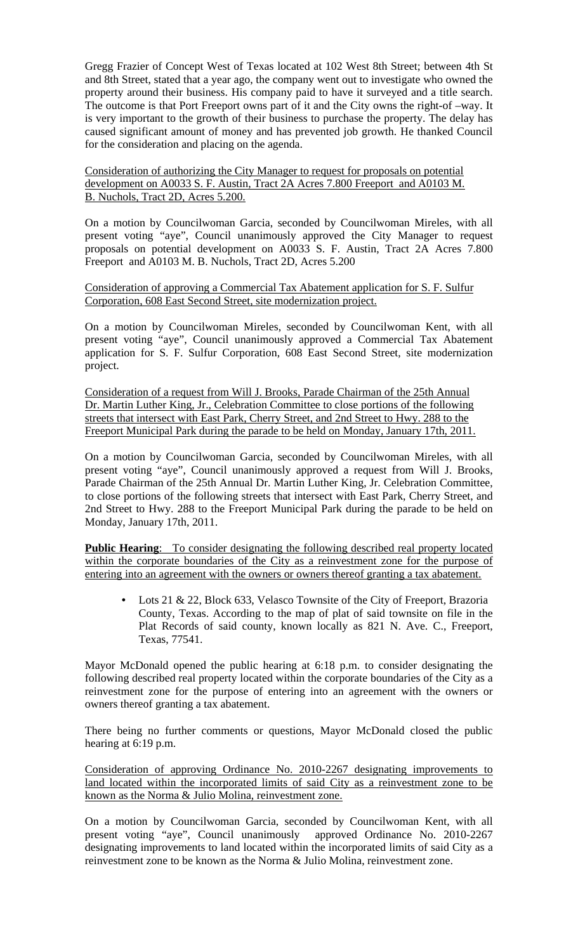Gregg Frazier of Concept West of Texas located at 102 West 8th Street; between 4th St and 8th Street, stated that a year ago, the company went out to investigate who owned the property around their business. His company paid to have it surveyed and a title search. The outcome is that Port Freeport owns part of it and the City owns the right-of –way. It is very important to the growth of their business to purchase the property. The delay has caused significant amount of money and has prevented job growth. He thanked Council for the consideration and placing on the agenda.

Consideration of authorizing the City Manager to request for proposals on potential development on A0033 S. F. Austin, Tract 2A Acres 7.800 Freeport and A0103 M. B. Nuchols, Tract 2D, Acres 5.200.

On a motion by Councilwoman Garcia, seconded by Councilwoman Mireles, with all present voting "aye", Council unanimously approved the City Manager to request proposals on potential development on A0033 S. F. Austin, Tract 2A Acres 7.800 Freeport and A0103 M. B. Nuchols, Tract 2D, Acres 5.200

Consideration of approving a Commercial Tax Abatement application for S. F. Sulfur Corporation, 608 East Second Street, site modernization project.

On a motion by Councilwoman Mireles, seconded by Councilwoman Kent, with all present voting "aye", Council unanimously approved a Commercial Tax Abatement application for S. F. Sulfur Corporation, 608 East Second Street, site modernization project.

Consideration of a request from Will J. Brooks, Parade Chairman of the 25th Annual Dr. Martin Luther King, Jr., Celebration Committee to close portions of the following streets that intersect with East Park, Cherry Street, and 2nd Street to Hwy. 288 to the Freeport Municipal Park during the parade to be held on Monday, January 17th, 2011.

On a motion by Councilwoman Garcia, seconded by Councilwoman Mireles, with all present voting "aye", Council unanimously approved a request from Will J. Brooks, Parade Chairman of the 25th Annual Dr. Martin Luther King, Jr. Celebration Committee, to close portions of the following streets that intersect with East Park, Cherry Street, and 2nd Street to Hwy. 288 to the Freeport Municipal Park during the parade to be held on Monday, January 17th, 2011.

**Public Hearing:** To consider designating the following described real property located within the corporate boundaries of the City as a reinvestment zone for the purpose of entering into an agreement with the owners or owners thereof granting a tax abatement.

Lots 21 & 22, Block 633, Velasco Townsite of the City of Freeport, Brazoria County, Texas. According to the map of plat of said townsite on file in the Plat Records of said county, known locally as 821 N. Ave. C., Freeport, Texas, 77541.

Mayor McDonald opened the public hearing at 6:18 p.m. to consider designating the following described real property located within the corporate boundaries of the City as a reinvestment zone for the purpose of entering into an agreement with the owners or owners thereof granting a tax abatement.

There being no further comments or questions, Mayor McDonald closed the public hearing at 6:19 p.m.

Consideration of approving Ordinance No. 2010-2267 designating improvements to land located within the incorporated limits of said City as a reinvestment zone to be known as the Norma & Julio Molina, reinvestment zone.

On a motion by Councilwoman Garcia, seconded by Councilwoman Kent, with all present voting "aye", Council unanimously approved Ordinance No. 2010-2267 designating improvements to land located within the incorporated limits of said City as a reinvestment zone to be known as the Norma & Julio Molina, reinvestment zone.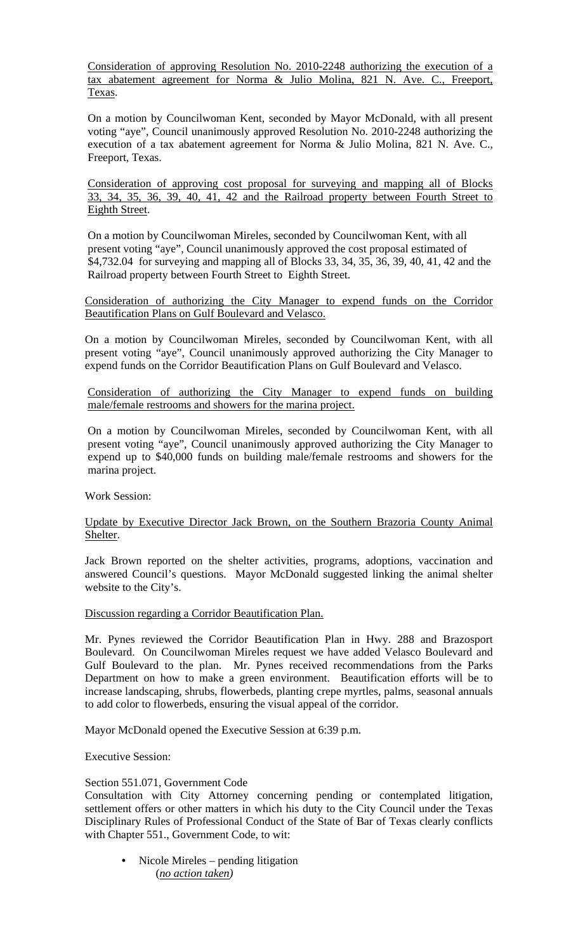Consideration of approving Resolution No. 2010-2248 authorizing the execution of a tax abatement agreement for Norma & Julio Molina, 821 N. Ave. C., Freeport, Texas.

On a motion by Councilwoman Kent, seconded by Mayor McDonald, with all present voting "aye", Council unanimously approved Resolution No. 2010-2248 authorizing the execution of a tax abatement agreement for Norma & Julio Molina, 821 N. Ave. C., Freeport, Texas.

Consideration of approving cost proposal for surveying and mapping all of Blocks 33, 34, 35, 36, 39, 40, 41, 42 and the Railroad property between Fourth Street to Eighth Street.

On a motion by Councilwoman Mireles, seconded by Councilwoman Kent, with all present voting "aye", Council unanimously approved the cost proposal estimated of \$4,732.04 for surveying and mapping all of Blocks 33, 34, 35, 36, 39, 40, 41, 42 and the Railroad property between Fourth Street to Eighth Street.

Consideration of authorizing the City Manager to expend funds on the Corridor Beautification Plans on Gulf Boulevard and Velasco.

On a motion by Councilwoman Mireles, seconded by Councilwoman Kent, with all present voting "aye", Council unanimously approved authorizing the City Manager to expend funds on the Corridor Beautification Plans on Gulf Boulevard and Velasco.

Consideration of authorizing the City Manager to expend funds on building male/female restrooms and showers for the marina project.

On a motion by Councilwoman Mireles, seconded by Councilwoman Kent, with all present voting "aye", Council unanimously approved authorizing the City Manager to expend up to \$40,000 funds on building male/female restrooms and showers for the marina project.

Work Session:

## Update by Executive Director Jack Brown, on the Southern Brazoria County Animal Shelter.

Jack Brown reported on the shelter activities, programs, adoptions, vaccination and answered Council's questions. Mayor McDonald suggested linking the animal shelter website to the City's.

Discussion regarding a Corridor Beautification Plan.

Mr. Pynes reviewed the Corridor Beautification Plan in Hwy. 288 and Brazosport Boulevard. On Councilwoman Mireles request we have added Velasco Boulevard and Gulf Boulevard to the plan. Mr. Pynes received recommendations from the Parks Department on how to make a green environment. Beautification efforts will be to increase landscaping, shrubs, flowerbeds, planting crepe myrtles, palms, seasonal annuals to add color to flowerbeds, ensuring the visual appeal of the corridor.

Mayor McDonald opened the Executive Session at 6:39 p.m.

Executive Session:

## Section 551.071, Government Code

Consultation with City Attorney concerning pending or contemplated litigation, settlement offers or other matters in which his duty to the City Council under the Texas Disciplinary Rules of Professional Conduct of the State of Bar of Texas clearly conflicts with Chapter 551., Government Code, to wit:

• Nicole Mireles – pending litigation (*no action taken)*